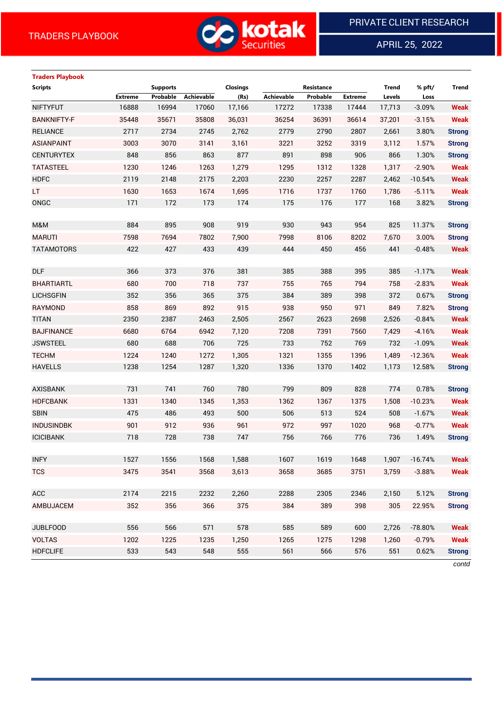

APRIL 25, 2022

 $\overline{a}$ 

# **Traders Playbook Scripts Supports Closings Resistance Trend % pft/ Trend Extreme Probable Achievable (Rs) Achievable Probable Extreme Levels Loss** NIFTYFUT 16888 16994 17060 17,166 17272 17338 17444 17,713 -3.09% **Weak** BANKNIFTY-F 35448 35671 35808 36,031 36254 36391 36614 37,201 -3.15% **Weak** RELIANCE 2717 2734 2745 2,762 2779 2790 2807 2,661 3.80% **Strong** ASIANPAINT 3003 3070 3141 3,161 3221 3252 3319 3,112 1.57% **Strong** CENTURYTEX 848 856 863 877 891 898 906 866 1.30% **Strong** TATASTEEL 1230 1246 1263 1,279 1295 1312 1328 1,317 -2.90% **Weak** HDFC 2119 2148 2175 2,203 2230 2257 2287 2,462 -10.54% **Weak** LT 1630 1653 1674 1,695 1716 1737 1760 1,786 -5.11% **Weak** ONGC 171 172 173 174 175 176 177 168 3.82% **Strong** M&M 884 895 908 919 930 943 954 825 11.37% **Strong** MARUTI 7598 7694 7802 7,900 7998 8106 8202 7,670 3.00% **Strong** TATAMOTORS 422 427 433 439 444 450 456 441 -0.48% **Weak** DLF 366 373 376 381 385 388 395 385 -1.17% **Weak** BHARTIARTL 680 700 718 737 755 765 794 758 -2.83% **Weak** LICHSGFIN 352 356 365 375 384 389 398 372 0.67% **Strong** RAYMOND 858 869 892 915 938 950 971 849 7.82% **Strong** TITAN 2350 2387 2463 2,505 2567 2623 2698 2,526 -0.84% **Weak** BAJFINANCE 6680 6764 6942 7,120 7208 7391 7560 7,429 -4.16% **Weak** JSWSTEEL 680 688 706 725 733 752 769 732 -1.09% **Weak** TECHM 1224 1240 1272 1,305 1321 1355 1396 1,489 -12.36% **Weak** HAVELLS 1238 1254 1287 1,320 1336 1370 1402 1,173 12.58% **Strong** AXISBANK 731 741 760 780 799 809 828 774 0.78% **Strong** HDFCBANK 1331 1340 1345 1,353 1362 1367 1375 1,508 -10.23% **Weak** SBIN 475 486 493 500 506 513 524 508 -1.67% **Weak** INDUSINDBK 901 912 936 961 972 997 1020 968 -0.77% **Weak** ICICIBANK 718 728 738 747 756 766 776 736 1.49% **Strong** INFY 1527 1556 1568 1,588 1607 1619 1648 1,907 -16.74% **Weak** TCS 3475 3541 3568 3,613 3658 3685 3751 3,759 -3.88% **Weak** ACC 2174 2215 2232 2,260 2288 2305 2346 2,150 5.12% **Strong** AMBUJACEM 352 356 366 375 384 389 398 305 22.95% **Strong** JUBLFOOD 556 566 571 578 585 589 600 2,726 -78.80% **Weak** VOLTAS 1202 1225 1235 1,250 1265 1275 1298 1,260 -0.79% **Weak** HDFCLIFE 533 543 548 555 561 566 576 551 0.62% **Strong**

*contd*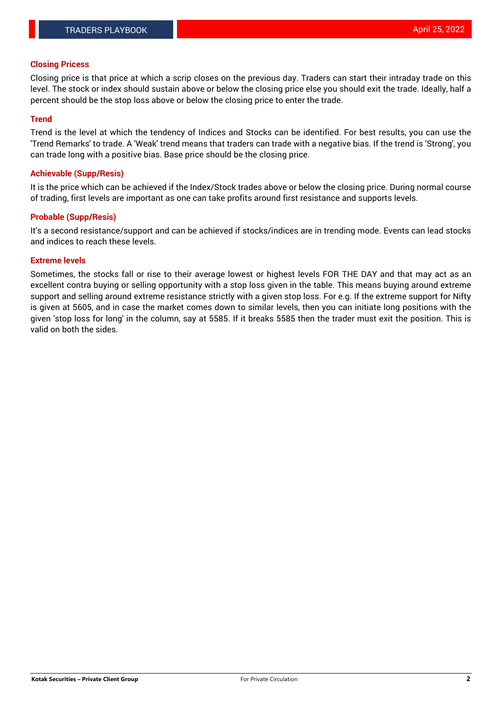#### **Closing Pricess**

Closing price is that price at which a scrip closes on the previous day. Traders can start their intraday trade on this level. The stock or index should sustain above or below the closing price else you should exit the trade. Ideally, half a percent should be the stop loss above or below the closing price to enter the trade.

### **Trend**

Trend is the level at which the tendency of Indices and Stocks can be identified. For best results, you can use the 'Trend Remarks' to trade. A 'Weak' trend means that traders can trade with a negative bias. If the trend is 'Strong', you can trade long with a positive bias. Base price should be the closing price.

#### **Achievable (Supp/Resis)**

It is the price which can be achieved if the Index/Stock trades above or below the closing price. During normal course of trading, first levels are important as one can take profits around first resistance and supports levels.

## **Probable (Supp/Resis)**

It's a second resistance/support and can be achieved if stocks/indices are in trending mode. Events can lead stocks and indices to reach these levels.

#### **Extreme levels**

Sometimes, the stocks fall or rise to their average lowest or highest levels FOR THE DAY and that may act as an excellent contra buying or selling opportunity with a stop loss given in the table. This means buying around extreme support and selling around extreme resistance strictly with a given stop loss. For e.g. If the extreme support for Nifty is given at 5605, and in case the market comes down to similar levels, then you can initiate long positions with the given 'stop loss for long' in the column, say at 5585. If it breaks 5585 then the trader must exit the position. This is valid on both the sides.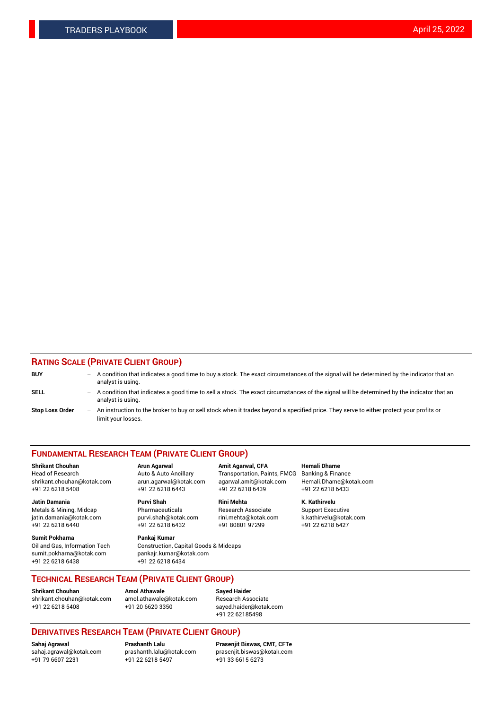## **RATING SCALE (PRIVATE CLIENT GROUP)**

| <b>BUY</b>             | -                 | A condition that indicates a good time to buy a stock. The exact circumstances of the signal will be determined by the indicator that an<br>analyst is using.  |
|------------------------|-------------------|----------------------------------------------------------------------------------------------------------------------------------------------------------------|
| SELL                   | -                 | A condition that indicates a good time to sell a stock. The exact circumstances of the signal will be determined by the indicator that an<br>analyst is using. |
| <b>Stop Loss Order</b> | $\qquad \qquad -$ | An instruction to the broker to buy or sell stock when it trades beyond a specified price. They serve to either protect your profits or<br>limit your losses.  |

#### **FUNDAMENTAL RESEARCH TEAM (PRIVATE CLIENT GROUP)**

**Shrikant Chouhan Arun Agarwal Amit Agarwal, CFA Hemali Dhame** Head of Research Auto & Auto Ancillary Transportation, Paints, FMCG Banking & Finance shrikant.chouhan@kotak.com arun.agarwal@kotak.com agarwal.amit@kotak.com Hemali.Dhame@kotak.com

**Jatin Damania Purvi Shah Rini Mehta K. Kathirvelu** Metals & Mining, Midcap **Pharmaceuticals** Research Associate Support Executive jatin.damania@kotak.com [purvi.shah@kotak.com](mailto:purvi.shah@kotak.com) rini.mehta@kotak.com [k.kathirvelu@kotak.com](mailto:k.kathirvelu@kotak.com)  $+91$  22 6218 6440  $+91$  22 6218 6432

**Sumit Pokharna Pankaj Kumar** sumit.pokharna@kotak.com pankajr.kumar@kotak.com +91 22 6218 6438 +91 22 6218 6434

Oil and Gas, Information Tech Construction, Capital Goods & Midcaps

+91 22 6218 5408 +91 22 6218 6443 +91 22 6218 6439 +91 22 6218 6433

**TECHNICAL RESEARCH TEAM (PRIVATE CLIENT GROUP)**

[shrikant.chouhan@kotak.com](mailto:shrikant.chouhan@kotak.com) [amol.athawale@kotak.com](mailto:amol.athawale@kotak.com) Research Associate +91 22 6218 5408 +91 20 6620 3350 [sayed.haider@kotak.com](mailto:sayed.haider@kotak.com)

**Shrikant Chouhan Amol Athawale Sayed Haider**

+91 22 62185498

# **DERIVATIVES RESEARCH TEAM (PRIVATE CLIENT GROUP)**

 $+91$  22 6218 5497

**Sahaj Agrawal Prashanth Lalu Prasenjit Biswas, CMT, CFTe** [sahaj.agrawal@kotak.com](mailto:sahaj.agrawal@kotak.com) [prashanth.lalu@kotak.com](mailto:prashanth.lalu@kotak.com) [prasenjit.biswas@kotak.com](mailto:prasenjit.biswas@kotak.com)